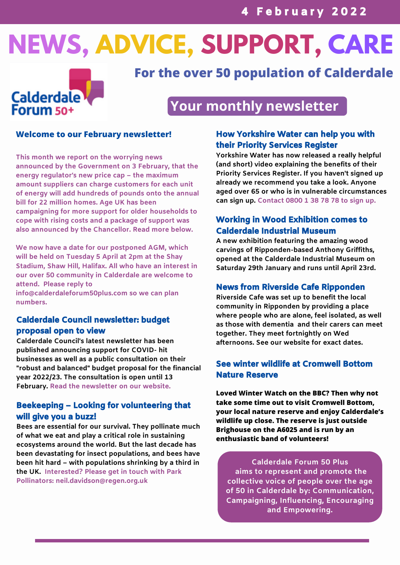# **NEWS, ADVICE, SUPPORT, CARE**



## **For the over 50 population of Calderdale**

## **Your monthly newsletter**

### **Welcome to our February newsletter!**

**This month we report on the worrying news announced by the Government on 3 February, that the energy regulator's new price cap – the maximum amount suppliers can charge customers for each unit of energy will add hundreds of pounds onto the annual bill for 22 million homes. Age UK has been campaigning for more support for older households to cope with rising costs and a package of support was also announced by the Chancellor. Read more below.**

**We now have a date for our postponed AGM, which will be held on Tuesday 5 April at 2pm at the Shay Stadium, Shaw Hill, Halifax. All who have an interest in our over 50 community in Calderdale are welcome to attend. Please reply to**

**info@calderdaleforum50plus.com so we can plan numbers.**

### Calderdale Council newsletter: budget proposal open to view

**Calderdale Council's latest newsletter has been published announcing support for COVID- hit businesses as well as a public consultation on their "robust and balanced" budget proposal for the financial year 2022/23. The consultation is open until 13 February. Read the newsletter on our website.**

### Beekeeping – Looking for volunteering that will give you a buzz!

**Bees are essential for our survival. They pollinate much of what we eat and play a critical role in sustaining ecosystems around the world. But the last decade has been devastating for insect populations, and bees have been hit hard – with populations shrinking by a third in the UK. Interested? Please get in touch with Park Pollinators: [neil.davidson@regen.org.uk](mailto:neil.davidson@regen.org.uk)**

### How Yorkshire Water can help you with their Priority Services Register

**Yorkshire Water has now released a really helpful (and short) video explaining the benefits of their Priority Services Register. If you haven't signed up already we recommend you take a look. Anyone aged over 65 or who is in vulnerable circumstances can sign up. Contact [0800](tel:0800387878) 1 38 78 78 to sign up.**

### Working in Wood Exhibition comes to Calderdale Industrial Museum

**A new exhibition featuring the amazing wood carvings of Ripponden-based Anthony Griffiths, opened at the Calderdale Industrial Museum on Saturday 29th January and runs until April 23rd.**

### News from Riverside Cafe Ripponden

**Riverside Cafe was set up to benefit the local community in Ripponden by providing a place where people who are alone, feel isolated, as well as those with dementia and their carers can meet together. They meet fortnightly on Wed afternoons. See our website for exact dates.**

### See winter wildlife at Cromwell Bottom Nature Reserve

**Loved Winter Watch on the BBC? Then why not take some time out to visit Cromwell Bottom, your local nature reserve and enjoy Calderdale's wildlife up close. The reserve is just outside Brighouse on the A6025 and is run by an enthusiastic band of volunteers!**

**Calderdale Forum 50 Plus aims to represent and promote the collective voice of people over the age of 50 in Calderdale by: Communication, Campaigning, Influencing, Encouraging and Empowering.**